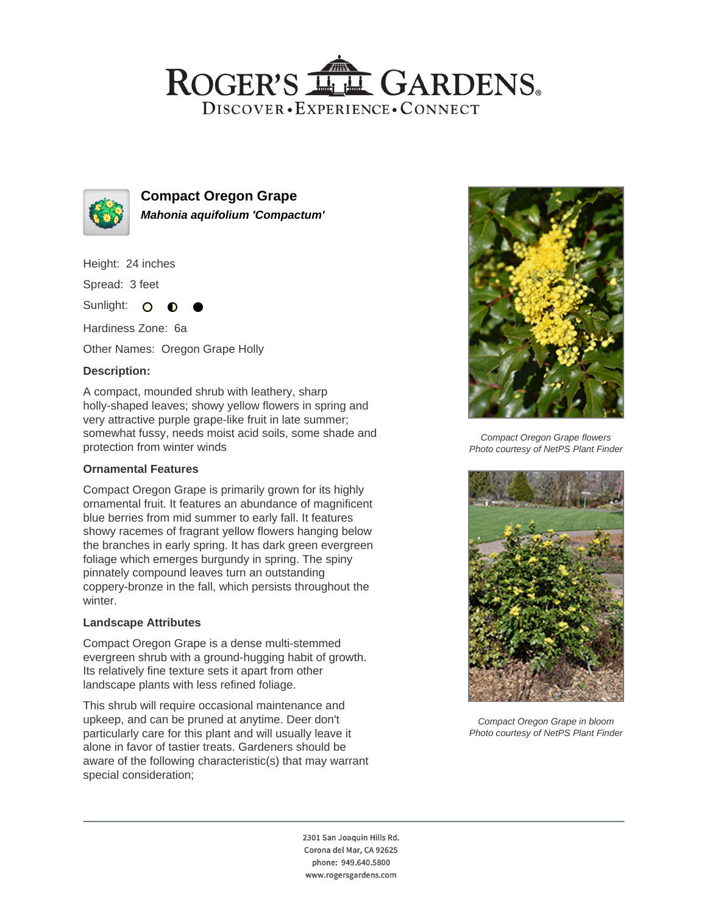# ROGER'S LL GARDENS. DISCOVER · EXPERIENCE · CONNECT



**Compact Oregon Grape Mahonia aquifolium 'Compactum'**

Height: 24 inches

Spread: 3 feet

Sunlight: O

Hardiness Zone: 6a

Other Names: Oregon Grape Holly

### **Description:**

A compact, mounded shrub with leathery, sharp holly-shaped leaves; showy yellow flowers in spring and very attractive purple grape-like fruit in late summer; somewhat fussy, needs moist acid soils, some shade and protection from winter winds

#### **Ornamental Features**

Compact Oregon Grape is primarily grown for its highly ornamental fruit. It features an abundance of magnificent blue berries from mid summer to early fall. It features showy racemes of fragrant yellow flowers hanging below the branches in early spring. It has dark green evergreen foliage which emerges burgundy in spring. The spiny pinnately compound leaves turn an outstanding coppery-bronze in the fall, which persists throughout the winter.

#### **Landscape Attributes**

Compact Oregon Grape is a dense multi-stemmed evergreen shrub with a ground-hugging habit of growth. Its relatively fine texture sets it apart from other landscape plants with less refined foliage.

This shrub will require occasional maintenance and upkeep, and can be pruned at anytime. Deer don't particularly care for this plant and will usually leave it alone in favor of tastier treats. Gardeners should be aware of the following characteristic(s) that may warrant special consideration;



Compact Oregon Grape flowers Photo courtesy of NetPS Plant Finder



Compact Oregon Grape in bloom Photo courtesy of NetPS Plant Finder

2301 San Joaquin Hills Rd. Corona del Mar, CA 92625 phone: 949.640.5800 www.rogersgardens.com